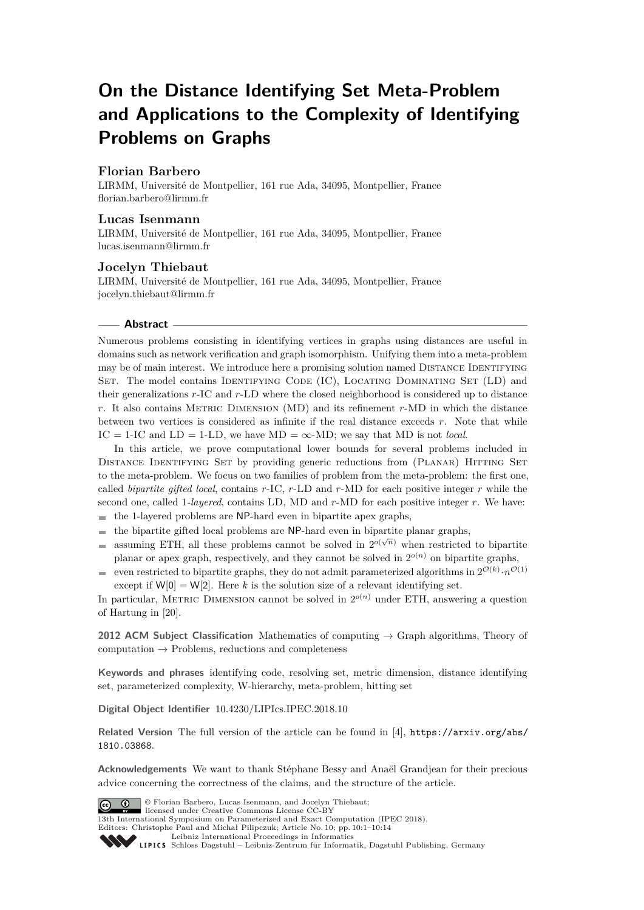# **On the Distance Identifying Set Meta-Problem and Applications to the Complexity of Identifying Problems on Graphs**

### **Florian Barbero**

LIRMM, Université de Montpellier, 161 rue Ada, 34095, Montpellier, France [florian.barbero@lirmm.fr](mailto:florian.barbero@lirmm.fr)

# **Lucas Isenmann**

LIRMM, Université de Montpellier, 161 rue Ada, 34095, Montpellier, France [lucas.isenmann@lirmm.fr](mailto:lucas.isenmann@lirmm.fr)

# **Jocelyn Thiebaut**

LIRMM, Université de Montpellier, 161 rue Ada, 34095, Montpellier, France [jocelyn.thiebaut@lirmm.fr](mailto:jocelyn.thiebaut@lirmm.fr)

### **Abstract**

Numerous problems consisting in identifying vertices in graphs using distances are useful in domains such as network verification and graph isomorphism. Unifying them into a meta-problem may be of main interest. We introduce here a promising solution named DISTANCE IDENTIFYING SET. The model contains IDENTIFYING CODE (IC), LOCATING DOMINATING SET (LD) and their generalizations *r*-IC and *r*-LD where the closed neighborhood is considered up to distance *r*. It also contains Metric Dimension (MD) and its refinement *r*-MD in which the distance between two vertices is considered as infinite if the real distance exceeds *r*. Note that while IC = 1-IC and  $LD = 1$ -LD, we have  $MD = \infty$ -MD; we say that MD is not *local*.

In this article, we prove computational lower bounds for several problems included in DISTANCE IDENTIFYING SET by providing generic reductions from (PLANAR) HITTING SET to the meta-problem. We focus on two families of problem from the meta-problem: the first one, called *bipartite gifted local*, contains *r*-IC, *r*-LD and *r*-MD for each positive integer *r* while the second one, called 1*-layered*, contains LD, MD and *r*-MD for each positive integer *r*. We have: the 1-layered problems are NP-hard even in bipartite apex graphs,

- 
- $\blacksquare$  the bipartite gifted local problems are NP-hard even in bipartite planar graphs, assuming ETH, all these problems cannot be solved in  $2^{o(\sqrt{n})}$  when restricted to bipartite
- planar or apex graph, respectively, and they cannot be solved in  $2^{o(n)}$  on bipartite graphs,
- even restricted to bipartite graphs, they do not admit parameterized algorithms in  $2^{\mathcal{O}(k)} \cdot n^{\mathcal{O}(1)}$ except if  $W[0] = W[2]$ . Here *k* is the solution size of a relevant identifying set.

In particular, METRIC DIMENSION cannot be solved in  $2^{o(n)}$  under ETH, answering a question of Hartung in [\[20\]](#page-13-0).

**2012 ACM Subject Classification** Mathematics of computing → Graph algorithms, Theory of computation  $\rightarrow$  Problems, reductions and completeness

**Keywords and phrases** identifying code, resolving set, metric dimension, distance identifying set, parameterized complexity, W-hierarchy, meta-problem, hitting set

**Digital Object Identifier** [10.4230/LIPIcs.IPEC.2018.10](https://doi.org/10.4230/LIPIcs.IPEC.2018.10)

**Related Version** The full version of the article can be found in [\[4\]](#page-12-0), [https://arxiv.org/abs/](https://arxiv.org/abs/1810.03868) [1810.03868](https://arxiv.org/abs/1810.03868).

**Acknowledgements** We want to thank Stéphane Bessy and Anaël Grandjean for their precious advice concerning the correctness of the claims, and the structure of the article.



© Florian Barbero, Lucas Isenmann, and Jocelyn Thiebaut;

licensed under Creative Commons License CC-BY 13th International Symposium on Parameterized and Exact Computation (IPEC 2018).

Editors: Christophe Paul and Michał Pilipczuk; Article No. 10; pp. 10:1–10[:14](#page-13-1)

[Leibniz International Proceedings in Informatics](http://www.dagstuhl.de/lipics/)

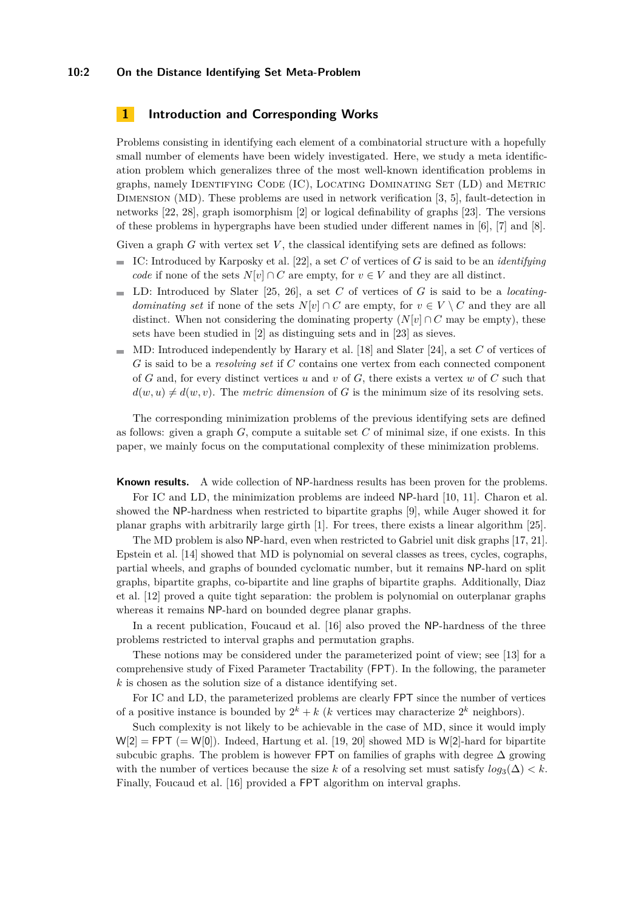#### **10:2 On the Distance Identifying Set Meta-Problem**

# **1 Introduction and Corresponding Works**

Problems consisting in identifying each element of a combinatorial structure with a hopefully small number of elements have been widely investigated. Here, we study a meta identification problem which generalizes three of the most well-known identification problems in graphs, namely IDENTIFYING CODE  $(IC)$ , LOCATING DOMINATING SET  $(LD)$  and METRIC Dimension (MD). These problems are used in network verification [\[3,](#page-12-1) [5\]](#page-12-2), fault-detection in networks [\[22,](#page-13-2) [28\]](#page-13-3), graph isomorphism [\[2\]](#page-12-3) or logical definability of graphs [\[23\]](#page-13-4). The versions of these problems in hypergraphs have been studied under different names in  $[6]$ ,  $[7]$  and  $[8]$ .

Given a graph *G* with vertex set *V*, the classical identifying sets are defined as follows:

- IC: Introduced by Karposky et al. [\[22\]](#page-13-2), a set C of vertices of G is said to be an *identifying code* if none of the sets  $N[v] \cap C$  are empty, for  $v \in V$  and they are all distinct.
- LD: Introduced by Slater [\[25,](#page-13-5) [26\]](#page-13-6), a set *C* of vertices of *G* is said to be a *locating-* $\overline{\phantom{a}}$ *dominating set* if none of the sets  $N[v] \cap C$  are empty, for  $v \in V \setminus C$  and they are all distinct. When not considering the dominating property  $(N|v| \cap C$  may be empty), these sets have been studied in [\[2\]](#page-12-3) as distinguing sets and in [\[23\]](#page-13-4) as sieves.
- MD: Introduced independently by Harary et al. [\[18\]](#page-12-7) and Slater [\[24\]](#page-13-7), a set *C* of vertices of *G* is said to be a *resolving set* if *C* contains one vertex from each connected component of *G* and, for every distinct vertices *u* and *v* of *G*, there exists a vertex *w* of *C* such that  $d(w, u) \neq d(w, v)$ . The *metric dimension* of *G* is the minimum size of its resolving sets.

The corresponding minimization problems of the previous identifying sets are defined as follows: given a graph *G*, compute a suitable set *C* of minimal size, if one exists. In this paper, we mainly focus on the computational complexity of these minimization problems.

**Known results.** A wide collection of NP-hardness results has been proven for the problems. For IC and LD, the minimization problems are indeed NP-hard [\[10,](#page-12-8) [11\]](#page-12-9). Charon et al. showed the NP-hardness when restricted to bipartite graphs [\[9\]](#page-12-10), while Auger showed it for planar graphs with arbitrarily large girth [\[1\]](#page-12-11). For trees, there exists a linear algorithm [\[25\]](#page-13-5).

The MD problem is also NP-hard, even when restricted to Gabriel unit disk graphs [\[17,](#page-12-12) [21\]](#page-13-8). Epstein et al. [\[14\]](#page-12-13) showed that MD is polynomial on several classes as trees, cycles, cographs, partial wheels, and graphs of bounded cyclomatic number, but it remains NP-hard on split graphs, bipartite graphs, co-bipartite and line graphs of bipartite graphs. Additionally, Diaz et al. [\[12\]](#page-12-14) proved a quite tight separation: the problem is polynomial on outerplanar graphs whereas it remains NP-hard on bounded degree planar graphs.

In a recent publication, Foucaud et al. [\[16\]](#page-12-15) also proved the NP-hardness of the three problems restricted to interval graphs and permutation graphs.

These notions may be considered under the parameterized point of view; see [\[13\]](#page-12-16) for a comprehensive study of Fixed Parameter Tractability (FPT). In the following, the parameter *k* is chosen as the solution size of a distance identifying set.

For IC and LD, the parameterized problems are clearly FPT since the number of vertices of a positive instance is bounded by  $2^k + k$  (*k* vertices may characterize  $2^k$  neighbors).

Such complexity is not likely to be achievable in the case of MD, since it would imply  $W[2] = FPT (= W[0])$ . Indeed, Hartung et al. [\[19,](#page-13-9) [20\]](#page-13-0) showed MD is  $W[2]$ -hard for bipartite subcubic graphs. The problem is however FPT on families of graphs with degree  $\Delta$  growing with the number of vertices because the size *k* of a resolving set must satisfy  $log_3(\Delta) < k$ . Finally, Foucaud et al. [\[16\]](#page-12-15) provided a FPT algorithm on interval graphs.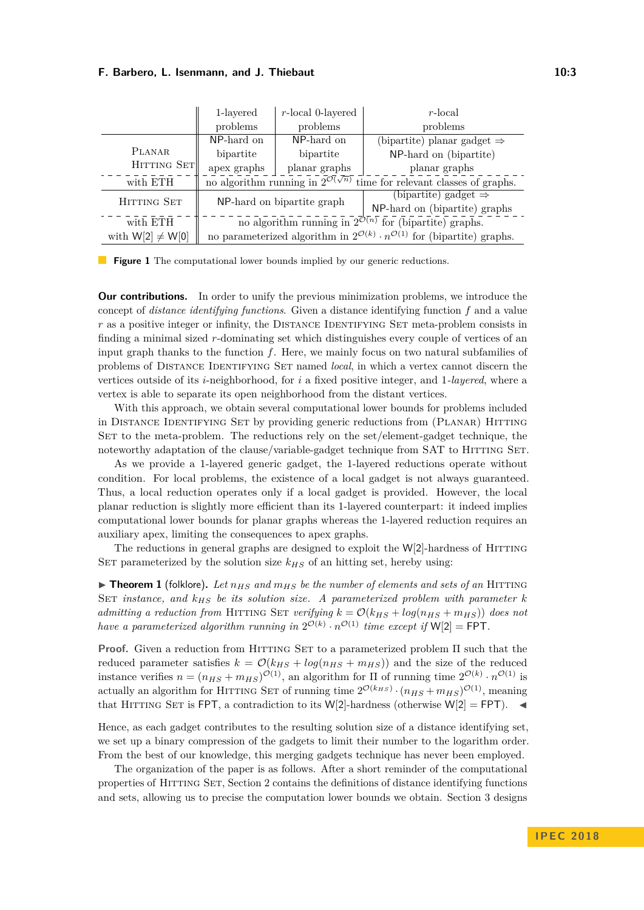|                       | 1-layered                                                                                           | $r$ -local 0-layered | $r$ -local                              |
|-----------------------|-----------------------------------------------------------------------------------------------------|----------------------|-----------------------------------------|
|                       | problems                                                                                            | problems             | problems                                |
|                       | NP-hard on                                                                                          | NP-hard on           | (bipartite) planar gadget $\Rightarrow$ |
| <b>PLANAR</b>         | bipartite                                                                                           | bipartite            | NP-hard on (bipartite)                  |
| HITTING SET           | apex graphs                                                                                         | planar graphs        | planar graphs                           |
| with ETH              | no algorithm running in $2^{\mathcal{O}(\sqrt{n})}$ time for relevant classes of graphs.            |                      |                                         |
| HITTING SET           | NP-hard on bipartite graph                                                                          |                      | (bipartite) gadget $\Rightarrow$        |
|                       |                                                                                                     |                      | NP-hard on (bipartite) graphs           |
| with ETH              | no algorithm running in $2^{\overline{\mathcal{O}(n)}}$ for (bipartite) graphs.                     |                      |                                         |
| with $W[2] \neq W[0]$ | no parameterized algorithm in $2^{\mathcal{O}(k)} \cdot n^{\mathcal{O}(1)}$ for (bipartite) graphs. |                      |                                         |

**Figure 1** The computational lower bounds implied by our generic reductions.

**Our contributions.** In order to unify the previous minimization problems, we introduce the concept of *distance identifying functions*. Given a distance identifying function *f* and a value  $r$  as a positive integer or infinity, the DISTANCE IDENTIFYING SET meta-problem consists in finding a minimal sized *r*-dominating set which distinguishes every couple of vertices of an input graph thanks to the function *f*. Here, we mainly focus on two natural subfamilies of problems of DISTANCE IDENTIFYING SET named *local*, in which a vertex cannot discern the vertices outside of its *i*-neighborhood, for *i* a fixed positive integer, and 1*-layered*, where a vertex is able to separate its open neighborhood from the distant vertices.

With this approach, we obtain several computational lower bounds for problems included in DISTANCE IDENTIFYING SET by providing generic reductions from (PLANAR) HITTING SET to the meta-problem. The reductions rely on the set/element-gadget technique, the noteworthy adaptation of the clause/variable-gadget technique from SAT to HITTING SET.

As we provide a 1-layered generic gadget, the 1-layered reductions operate without condition. For local problems, the existence of a local gadget is not always guaranteed. Thus, a local reduction operates only if a local gadget is provided. However, the local planar reduction is slightly more efficient than its 1-layered counterpart: it indeed implies computational lower bounds for planar graphs whereas the 1-layered reduction requires an auxiliary apex, limiting the consequences to apex graphs.

The reductions in general graphs are designed to exploit the  $W[2]$ -hardness of HITTING SET parameterized by the solution size  $k_{HS}$  of an hitting set, hereby using:

<span id="page-2-0"></span> $\blacktriangleright$  **Theorem 1** (folklore). Let  $n_{HS}$  and  $m_{HS}$  be the number of elements and sets of an HITTING SET *instance, and*  $k_{HS}$  *be its solution size. A parameterized problem with parameter*  $k$ *admitting a reduction from* HITTING SET *verifying*  $k = \mathcal{O}(k_{HS} + log(n_{HS} + m_{HS}))$  does not *have a parameterized algorithm running in*  $2^{\mathcal{O}(k)} \cdot n^{\mathcal{O}(1)}$  *time except if*  $W[2] = FPT$ *.* 

**Proof.** Given a reduction from HITTING SET to a parameterized problem Π such that the reduced parameter satisfies  $k = \mathcal{O}(k_{HS} + log(n_{HS} + m_{HS}))$  and the size of the reduced instance verifies  $n = (n_{HS} + m_{HS})^{\mathcal{O}(1)}$ , an algorithm for  $\Pi$  of running time  $2^{\mathcal{O}(k)} \cdot n^{\mathcal{O}(1)}$  is actually an algorithm for HITTING SET of running time  $2^{\mathcal{O}(k_{HS})} \cdot (n_{HS} + m_{HS})^{\mathcal{O}(1)}$ , meaning that HITTING SET is FPT, a contradiction to its W[2]-hardness (otherwise W[2] = FPT).

Hence, as each gadget contributes to the resulting solution size of a distance identifying set, we set up a binary compression of the gadgets to limit their number to the logarithm order. From the best of our knowledge, this merging gadgets technique has never been employed.

The organization of the paper is as follows. After a short reminder of the computational properties of Hitting Set, Section [2](#page-3-0) contains the definitions of distance identifying functions and sets, allowing us to precise the computation lower bounds we obtain. Section [3](#page-6-0) designs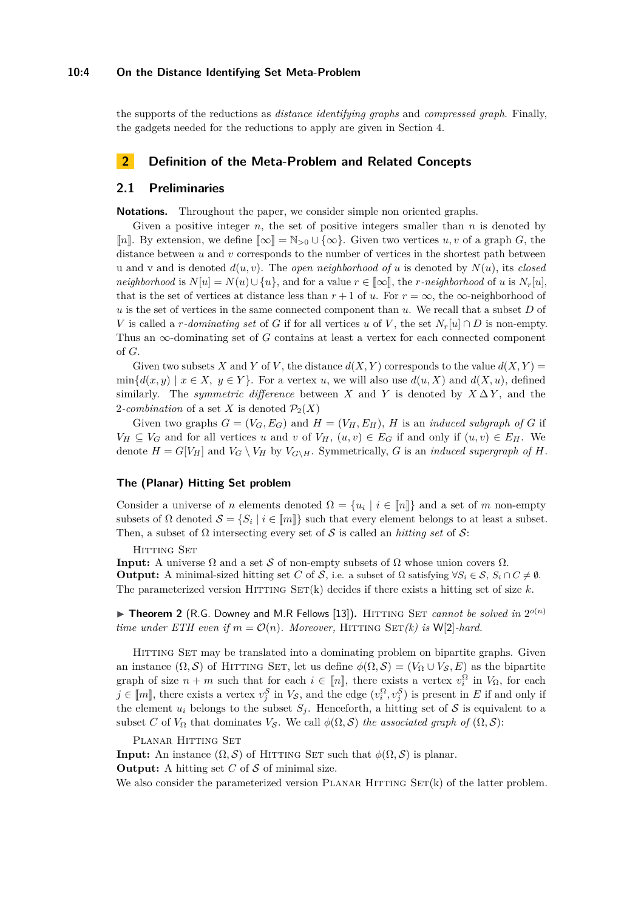#### **10:4 On the Distance Identifying Set Meta-Problem**

the supports of the reductions as *distance identifying graphs* and *compressed graph*. Finally, the gadgets needed for the reductions to apply are given in Section [4.](#page-9-0)

# <span id="page-3-0"></span>**2 Definition of the Meta-Problem and Related Concepts**

# **2.1 Preliminaries**

**Notations.** Throughout the paper, we consider simple non oriented graphs.

Given a positive integer *n*, the set of positive integers smaller than *n* is denoted by  $\llbracket n \rrbracket$ . By extension, we define  $\llbracket \infty \rrbracket = \mathbb{N}_{>0} \cup \{\infty\}$ . Given two vertices  $u, v$  of a graph *G*, the distance between *u* and *v* corresponds to the number of vertices in the shortest path between u and v and is denoted  $d(u, v)$ . The *open neighborhood of u* is denoted by  $N(u)$ , its *closed neighborhood* is  $N[u] = N(u) \cup \{u\}$ , and for a value  $r \in \llbracket \infty \rrbracket$ , the *r-neighborhood* of *u* is  $N_r[u]$ . that is the set of vertices at distance less than  $r + 1$  of *u*. For  $r = \infty$ , the  $\infty$ -neighborhood of *u* is the set of vertices in the same connected component than *u*. We recall that a subset *D* of *V* is called a *r*-dominating set of *G* if for all vertices *u* of *V*, the set  $N_r[u] \cap D$  is non-empty. Thus an  $\infty$ -dominating set of *G* contains at least a vertex for each connected component of *G*.

Given two subsets X and Y of V, the distance  $d(X, Y)$  corresponds to the value  $d(X, Y)$  $\min\{d(x,y) \mid x \in X, y \in Y\}.$  For a vertex *u*, we will also use  $d(u, X)$  and  $d(X, u)$ , defined similarly. The *symmetric difference* between *X* and *Y* is denoted by  $X \Delta Y$ , and the 2-combination of a set X is denoted  $\mathcal{P}_2(X)$ 

Given two graphs  $G = (V_G, E_G)$  and  $H = (V_H, E_H)$ , *H* is an *induced subgraph of G* if  $V_H \subseteq V_G$  and for all vertices *u* and *v* of  $V_H$ ,  $(u, v) \in E_G$  if and only if  $(u, v) \in E_H$ . We denote  $H = G[V_H]$  and  $V_G \setminus V_H$  by  $V_{G \setminus H}$ . Symmetrically, *G* is an *induced supergraph of H*.

### <span id="page-3-1"></span>**The (Planar) Hitting Set problem**

Consider a universe of *n* elements denoted  $\Omega = \{u_i \mid i \in [n]\}$  and a set of *m* non-empty subsets of  $\Omega$  denoted  $\mathcal{S} = \{S_i \mid i \in [m]\}$  such that every element belongs to at least a subset. Then, a subset of  $\Omega$  intersecting every set of S is called an *hitting set* of S:

**HITTING SET** 

**Input:** A universe  $\Omega$  and a set S of non-empty subsets of  $\Omega$  whose union covers  $\Omega$ . **Output:** A minimal-sized hitting set *C* of *S*, i.e. a subset of  $\Omega$  satisfying  $\forall S_i \in S$ ,  $S_i \cap C \neq \emptyset$ . The parameterized version Hitting Set(k) decides if there exists a hitting set of size *k*.

<span id="page-3-2"></span>▶ Theorem 2 (R.G. Downey and M.R Fellows [\[13\]](#page-12-16)). HITTING SET *cannot be solved in*  $2^{o(n)}$ *time under ETH even if*  $m = \mathcal{O}(n)$ *. Moreover,* HITTING SET*(k) is* W[2]*-hard.* 

Hitting Set may be translated into a dominating problem on bipartite graphs. Given an instance  $(\Omega, \mathcal{S})$  of HITTING SET, let us define  $\phi(\Omega, \mathcal{S}) = (V_{\Omega} \cup V_{\mathcal{S}}, E)$  as the bipartite graph of size  $n + m$  such that for each  $i \in [n]$ , there exists a vertex  $v_i^{\Omega}$  in  $V_{\Omega}$ , for each  $j \in [m]$ , there exists a vertex  $v_j^{\mathcal{S}}$  in  $V_{\mathcal{S}}$ , and the edge  $(v_i^{\Omega}, v_j^{\mathcal{S}})$  is present in *E* if and only if the element  $u_i$  belongs to the subset  $S_i$ . Henceforth, a hitting set of S is equivalent to a subset *C* of  $V_{\Omega}$  that dominates  $V_{\mathcal{S}}$ . We call  $\phi(\Omega, \mathcal{S})$  the associated graph of  $(\Omega, \mathcal{S})$ :

Planar Hitting Set

**Input:** An instance  $(\Omega, \mathcal{S})$  of HITTING SET such that  $\phi(\Omega, \mathcal{S})$  is planar.

**Output:** A hitting set  $C$  of  $S$  of minimal size.

We also consider the parameterized version PLANAR HITTING  $SET(k)$  of the latter problem.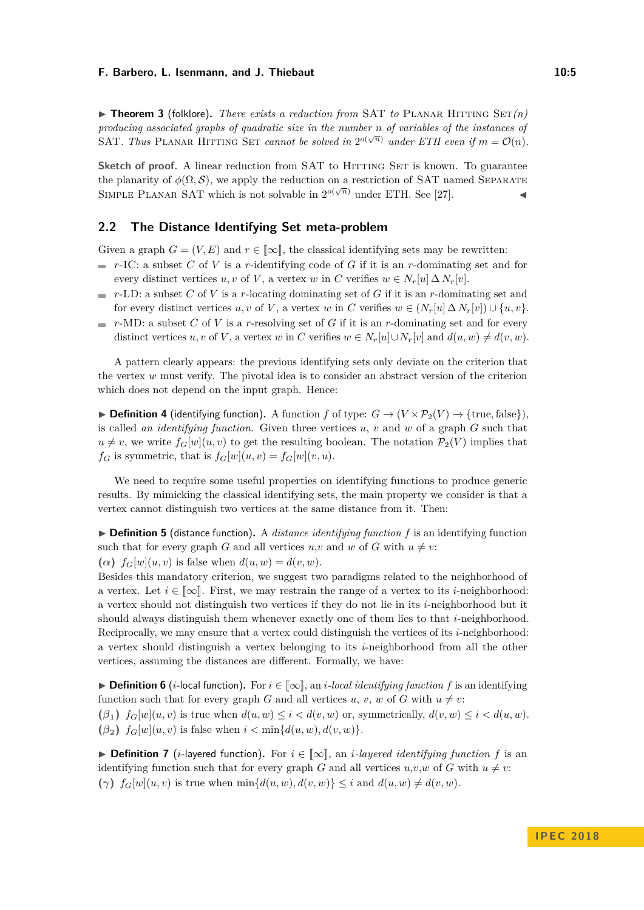<span id="page-4-3"></span> $\triangleright$  **Theorem 3** (folklore). *There exists a reduction from* SAT *to* PLANAR HITTING SET $(n)$ *producing associated graphs of quadratic size in the number n of variables of the instances of* SAT. Thus PLANAR HITTING SET *cannot be solved in*  $2^{o(\sqrt{n})}$  *under ETH even if*  $m = \mathcal{O}(n)$ *.* 

**Sketch of proof.** A linear reduction from SAT to HITTING SET is known. To guarantee the planarity of  $\phi(\Omega, \mathcal{S})$ , we apply the reduction on a restriction of SAT named SEPARATE SIMPLE PLANAR SAT which is not solvable in  $2^{o(\sqrt{n})}$  under ETH. See [\[27\]](#page-13-10).

# **2.2 The Distance Identifying Set meta-problem**

Given a graph  $G = (V, E)$  and  $r \in [\infty]$ , the classical identifying sets may be rewritten:

- $r$ -IC: a subset *C* of *V* is a *r*-identifying code of *G* if it is an *r*-dominating set and for every distinct vertices *u, v* of *V*, a vertex *w* in *C* verifies  $w \in N_r[u] \Delta N_r[v]$ .
- $r$ -LD: a subset *C* of *V* is a *r*-locating dominating set of *G* if it is an *r*-dominating set and for every distinct vertices *u, v* of *V*, a vertex *w* in *C* verifies  $w \in (N_r[u] \Delta N_r[v]) \cup \{u, v\}$ .
- $r$ -MD: a subset *C* of *V* is a *r*-resolving set of *G* if it is an *r*-dominating set and for every distinct vertices *u, v* of *V*, a vertex *w* in *C* verifies  $w \in N_r[u] \cup N_r[v]$  and  $d(u, w) \neq d(v, w)$ .

A pattern clearly appears: the previous identifying sets only deviate on the criterion that the vertex *w* must verify. The pivotal idea is to consider an abstract version of the criterion which does not depend on the input graph. Hence:

 $\triangleright$  **Definition 4** (identifying function). A function *f* of type:  $G \to (V \times \mathcal{P}_2(V) \to \{\text{true}, \text{false}\})$ , is called *an identifying function*. Given three vertices *u*, *v* and *w* of a graph *G* such that  $u \neq v$ , we write  $f_G[w](u, v)$  to get the resulting boolean. The notation  $\mathcal{P}_2(V)$  implies that  $f_G$  is symmetric, that is  $f_G[w](u, v) = f_G[w](v, u)$ .

We need to require some useful properties on identifying functions to produce generic results. By mimicking the classical identifying sets, the main property we consider is that a vertex cannot distinguish two vertices at the same distance from it. Then:

<span id="page-4-2"></span> $\triangleright$  **Definition 5** (distance function). A *distance identifying function f* is an identifying function such that for every graph *G* and all vertices  $u, v$  and  $w$  of *G* with  $u \neq v$ :

 $(c)$   $f_G[w](u, v)$  is false when  $d(u, w) = d(v, w)$ .

Besides this mandatory criterion, we suggest two paradigms related to the neighborhood of a vertex. Let  $i \in \llbracket \infty \rrbracket$ . First, we may restrain the range of a vertex to its *i*-neighborhood: a vertex should not distinguish two vertices if they do not lie in its *i*-neighborhood but it should always distinguish them whenever exactly one of them lies to that *i*-neighborhood. Reciprocally, we may ensure that a vertex could distinguish the vertices of its *i*-neighborhood: a vertex should distinguish a vertex belonging to its *i*-neighborhood from all the other vertices, assuming the distances are different. Formally, we have:

<span id="page-4-0"></span>**► Definition 6** (*i*-local function). For  $i \in \llbracket \infty \rrbracket$ , an *i*-local identifying function f is an identifying function such that for every graph *G* and all vertices *u*, *v*, *w* of *G* with  $u \neq v$ :  $(\beta_1)$   $f_G[w](u, v)$  is true when  $d(u, w) \leq i < d(v, w)$  or, symmetrically,  $d(v, w) \leq i < d(u, w)$ .  $(\beta_2)$   $f_G[w](u, v)$  is false when  $i < \min\{d(u, w), d(v, w)\}.$ 

<span id="page-4-1"></span>**► Definition 7** (*i*-layered function). For  $i \in \llbracket \infty \rrbracket$ , an *i*-layered identifying function f is an identifying function such that for every graph *G* and all vertices  $u, v, w$  of *G* with  $u \neq v$ :  $(\gamma)$   $f_G[w](u, v)$  is true when  $\min\{d(u, w), d(v, w)\} \leq i$  and  $d(u, w) \neq d(v, w)$ .

**I P E C 2 0 1 8**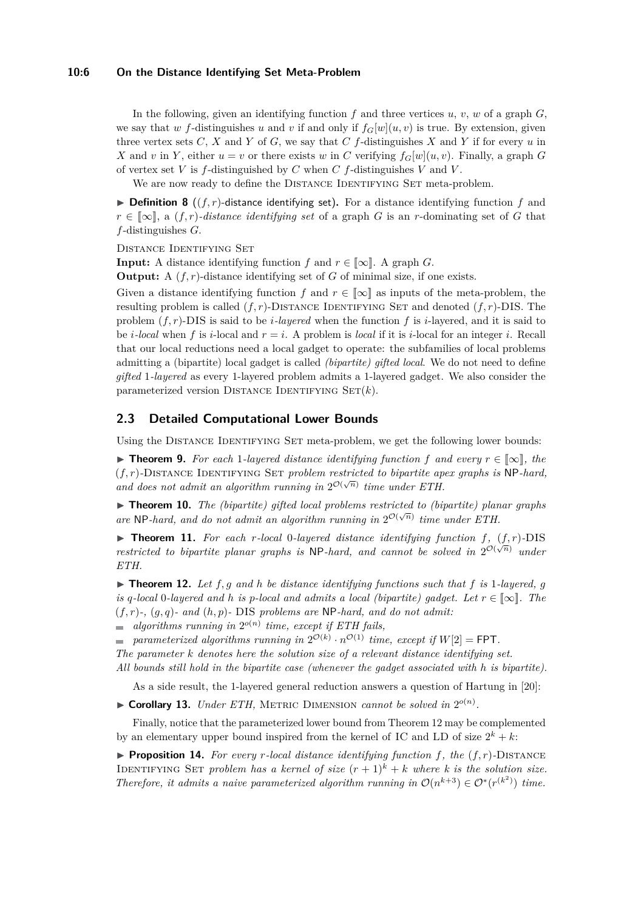#### **10:6 On the Distance Identifying Set Meta-Problem**

In the following, given an identifying function  $f$  and three vertices  $u, v, w$  of a graph  $G$ , we say that *w* f-distinguishes *u* and *v* if and only if  $f_G[w](u, v)$  is true. By extension, given three vertex sets  $C$ ,  $X$  and  $Y$  of  $G$ , we say that  $C$   $f$ -distinguishes  $X$  and  $Y$  if for every  $u$  in *X* and *v* in *Y*, either  $u = v$  or there exists *w* in *C* verifying  $f_G[w](u, v)$ . Finally, a graph *G* of vertex set *V* is *f*-distinguished by *C* when *C f*-distinguishes *V* and *V* .

We are now ready to define the DISTANCE IDENTIFYING SET meta-problem.

 $\triangleright$  **Definition 8** ((*f, r*)-distance identifying set). For a distance identifying function *f* and  $r \in [\infty]$ , a  $(f, r)$ -distance identifying set of a graph *G* is an *r*-dominating set of *G* that *f*-distinguishes *G*.

Distance Identifying Set

**Input:** A distance identifying function *f* and  $r \in [\infty]$ . A graph *G*.

**Output:** A  $(f, r)$ -distance identifying set of  $G$  of minimal size, if one exists.

Given a distance identifying function *f* and  $r \in \llbracket \infty \rrbracket$  as inputs of the meta-problem, the resulting problem is called  $(f, r)$ -DISTANCE IDENTIFYING SET and denoted  $(f, r)$ -DIS. The problem (*f, r*)-DIS is said to be *i-layered* when the function *f* is *i*-layered, and it is said to be *i*-local when f is *i*-local and  $r = i$ . A problem is *local* if it is *i*-local for an integer *i*. Recall that our local reductions need a local gadget to operate: the subfamilies of local problems admitting a (bipartite) local gadget is called *(bipartite) gifted local*. We do not need to define *gifted* 1*-layered* as every 1-layered problem admits a 1-layered gadget. We also consider the parameterized version DISTANCE IDENTIFYING  $SET(k)$ .

# **2.3 Detailed Computational Lower Bounds**

Using the DISTANCE IDENTIFYING SET meta-problem, we get the following lower bounds:

<span id="page-5-1"></span>**► Theorem 9.** For each 1-layered distance identifying function f and every  $r \in \llbracket \infty \rrbracket$ *, the*  $(f, r)$ -DISTANCE IDENTIFYING SET *problem restricted to bipartite apex graphs is* NP-hard, and does not admit an algorithm running in  $2^{\mathcal{O}(\sqrt{n})}$  time under ETH.

I **Theorem 10.** *The (bipartite) gifted local problems restricted to (bipartite) planar graphs* **are** NP-hard, and do not admit an algorithm running in  $2^{\mathcal{O}(\sqrt{n})}$  time under ETH.

**Findment 11.** For each *r*-local 0-layered distance identifying function  $f$ ,  $(f, r)$ -DIS *restricted to bipartite planar graphs is* NP-hard, and cannot be solved in  $2^{\mathcal{O}(\sqrt{n})}$  under *ETH.*

<span id="page-5-0"></span> $\blacktriangleright$  **Theorem 12.** Let  $f, g$  and  $h$  be distance identifying functions such that  $f$  is 1-layered,  $g$ *is q*-local 0-layered and *h is p*-local and admits a local (bipartite) gadget. Let  $r \in [\infty]$ *. The* (*f, r*)*-,* (*g, q*)*- and* (*h, p*)*-* DIS *problems are* NP*-hard, and do not admit:*

algorithms running in  $2^{o(n)}$  time, except if ETH fails,

parameterized algorithms running in  $2^{\mathcal{O}(k)} \cdot n^{\mathcal{O}(1)}$  time, except if  $W[2] = \text{FPT}$ .

*The parameter k denotes here the solution size of a relevant distance identifying set.*

*All bounds still hold in the bipartite case (whenever the gadget associated with h is bipartite).*

As a side result, the 1-layered general reduction answers a question of Hartung in [\[20\]](#page-13-0):

 $\triangleright$  **Corollary 13.** *Under ETH, METRIC DIMENSION cannot be solved in*  $2^{o(n)}$ *.* 

Finally, notice that the parameterized lower bound from Theorem [12](#page-5-0) may be complemented by an elementary upper bound inspired from the kernel of IC and LD of size  $2^k + k$ :

<span id="page-5-2"></span>**Proposition 14.** For every r-local distance identifying function f, the  $(f, r)$ -DISTANCE IDENTIFYING SET *problem has a kernel of size*  $(r + 1)^k + k$  *where k is the solution size. Therefore, it admits a naive parameterized algorithm running in*  $O(n^{k+3}) \in O^{*}(r^{(k^2)})$  *time.*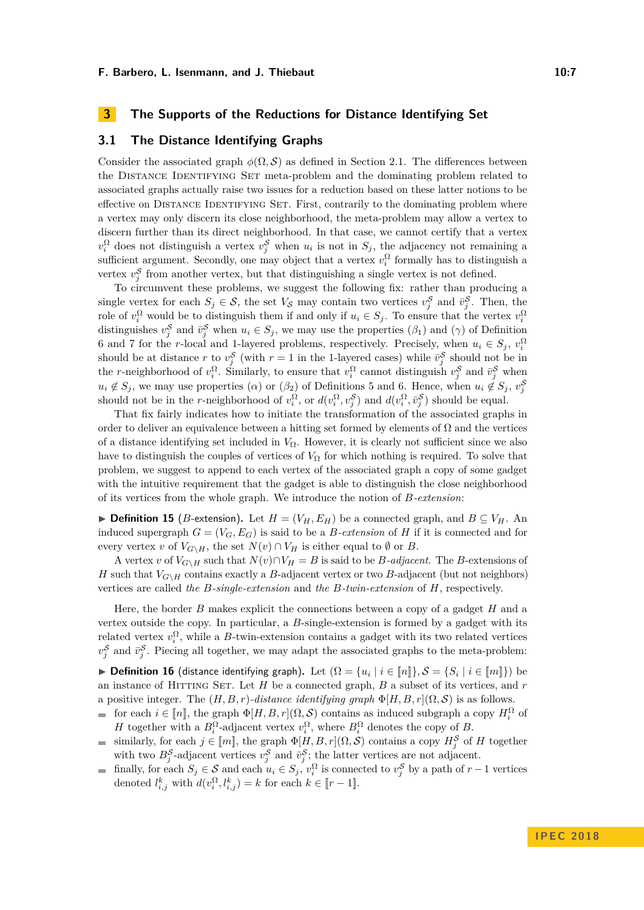# <span id="page-6-0"></span>**3 The Supports of the Reductions for Distance Identifying Set**

#### **3.1 The Distance Identifying Graphs**

Consider the associated graph  $\phi(\Omega, \mathcal{S})$  as defined in Section [2.1.](#page-3-1) The differences between the DISTANCE IDENTIFYING SET meta-problem and the dominating problem related to associated graphs actually raise two issues for a reduction based on these latter notions to be effective on DISTANCE IDENTIFYING SET. First, contrarily to the dominating problem where a vertex may only discern its close neighborhood, the meta-problem may allow a vertex to discern further than its direct neighborhood. In that case, we cannot certify that a vertex  $v_i^{\Omega}$  does not distinguish a vertex  $v_j^{\mathcal{S}}$  when  $u_i$  is not in  $S_j$ , the adjacency not remaining a sufficient argument. Secondly, one may object that a vertex  $v_i^{\Omega}$  formally has to distinguish a vertex  $v_j^{\mathcal{S}}$  from another vertex, but that distinguishing a single vertex is not defined.

To circumvent these problems, we suggest the following fix: rather than producing a single vertex for each  $S_j \in \mathcal{S}$ , the set  $V_{\mathcal{S}}$  may contain two vertices  $v_j^{\mathcal{S}}$  and  $\bar{v}_j^{\mathcal{S}}$ . Then, the role of  $v_i^{\Omega}$  would be to distinguish them if and only if  $u_i \in S_j$ . To ensure that the vertex  $v_i^{\Omega}$ distinguishes  $v_j^{\mathcal{S}}$  and  $\bar{v}_j^{\mathcal{S}}$  when  $u_i \in S_j$ , we may use the properties  $(\beta_1)$  and  $(\gamma)$  of Definition [6](#page-4-0) and [7](#page-4-1) for the *r*-local and 1-layered problems, respectively. Precisely, when  $u_i \in S_j$ ,  $v_i^{\Omega}$ should be at distance *r* to  $v_j^S$  (with  $r = 1$  in the 1-layered cases) while  $\bar{v}_j^S$  should not be in the *r*-neighborhood of  $v_i^{\Omega}$ . Similarly, to ensure that  $v_i^{\Omega}$  cannot distinguish  $v_j^{\mathcal{S}}$  and  $\bar{v}_j^{\mathcal{S}}$  when  $u_i \notin S_j$ , we may use properties (*α*) or (*β*<sub>2</sub>) of Definitions [5](#page-4-2) and [6.](#page-4-0) Hence, when  $u_i \notin S_j$ ,  $v_j^S$ should not be in the *r*-neighborhood of  $v_i^{\Omega}$ , or  $d(v_i^{\Omega}, v_j^{\mathcal{S}})$  and  $d(v_i^{\Omega}, \bar{v}_j^{\mathcal{S}})$  should be equal.

That fix fairly indicates how to initiate the transformation of the associated graphs in order to deliver an equivalence between a hitting set formed by elements of  $\Omega$  and the vertices of a distance identifying set included in *V*Ω. However, it is clearly not sufficient since we also have to distinguish the couples of vertices of *V*<sup>Ω</sup> for which nothing is required. To solve that problem, we suggest to append to each vertex of the associated graph a copy of some gadget with the intuitive requirement that the gadget is able to distinguish the close neighborhood of its vertices from the whole graph. We introduce the notion of *B-extension*:

▶ **Definition 15** (*B*-extension). Let  $H = (V_H, E_H)$  be a connected graph, and  $B ⊆ V_H$ . An induced supergraph  $G = (V_G, E_G)$  is said to be a *B-extension* of *H* if it is connected and for every vertex *v* of  $V_{G\setminus H}$ , the set  $N(v) \cap V_H$  is either equal to  $\emptyset$  or *B*.

A vertex *v* of  $V_{G\setminus H}$  such that  $N(v)\cap V_H = B$  is said to be *B-adjacent*. The *B*-extensions of *H* such that  $V_{G\setminus H}$  contains exactly a *B*-adjacent vertex or two *B*-adjacent (but not neighbors) vertices are called *the B-single-extension* and *the B-twin-extension* of *H*, respectively.

Here, the border *B* makes explicit the connections between a copy of a gadget *H* and a vertex outside the copy. In particular, a *B*-single-extension is formed by a gadget with its related vertex  $v_i^{\Omega}$ , while a *B*-twin-extension contains a gadget with its two related vertices  $v_j^{\mathcal{S}}$  and  $\bar{v}_j^{\mathcal{S}}$ . Piecing all together, we may adapt the associated graphs to the meta-problem:

 $▶$  **Definition 16** (distance identifying graph). Let  $(Ω = {u_i | i ∈ [n]}, S = {S_i | i ∈ [m]})$  be an instance of HITTING SET. Let *H* be a connected graph, *B* a subset of its vertices, and *r* a positive integer. The  $(H, B, r)$ *-distance identifying graph*  $\Phi[H, B, r](\Omega, \mathcal{S})$  is as follows.

- for each  $i \in [n]$ , the graph  $\Phi[H, B, r](\Omega, \mathcal{S})$  contains as induced subgraph a copy  $H_i^{\Omega}$  of *H* together with a  $B_i^{\Omega}$ -adjacent vertex  $v_i^{\Omega}$ , where  $B_i^{\Omega}$  denotes the copy of *B*.
- similarly, for each  $j \in [m]$ , the graph  $\Phi[H, B, r](\Omega, \mathcal{S})$  contains a copy  $H_j^{\mathcal{S}}$  of H together  $\rightarrow$ with two  $B_j^S$ -adjacent vertices  $v_j^S$  and  $\bar{v}_j^S$ ; the latter vertices are not adjacent.
- finally, for each  $S_j \in \mathcal{S}$  and each  $u_i \in S_j$ ,  $v_i^{\Omega}$  is connected to  $v_j^{\mathcal{S}}$  by a path of  $r-1$  vertices denoted  $l_{i,j}^k$  with  $d(v_i^{\Omega}, l_{i,j}^k) = k$  for each  $k \in [r-1]$ .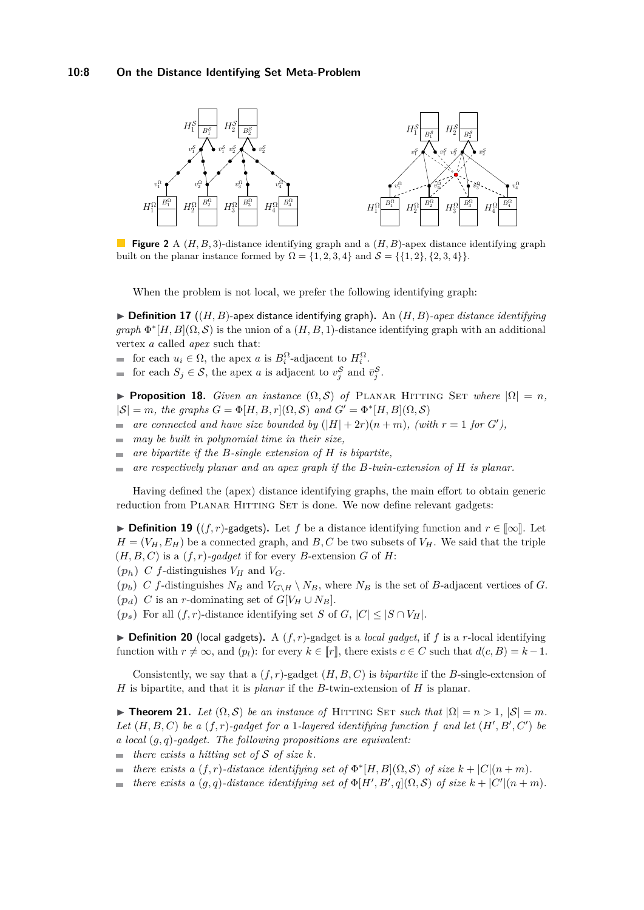#### **10:8 On the Distance Identifying Set Meta-Problem**



**Figure 2** A (*H, B,* 3)-distance identifying graph and a (*H, B*)-apex distance identifying graph built on the planar instance formed by  $Ω = {1, 2, 3, 4}$  and  $S = {1, 2}, {2, 3, 4}.$ 

When the problem is not local, we prefer the following identifying graph:

 $\blacktriangleright$  **Definition 17** ((*H, B*)-apex distance identifying graph). An (*H, B*)-apex distance identifying *graph*  $\Phi^*[H, B](\Omega, \mathcal{S})$  is the union of a  $(H, B, 1)$ -distance identifying graph with an additional vertex *a* called *apex* such that:

- for each  $u_i \in \Omega$ , the apex *a* is  $B_i^{\Omega}$ -adjacent to  $H_i^{\Omega}$ .
- for each  $S_j \in \mathcal{S}$ , the apex *a* is adjacent to  $v_j^{\mathcal{S}}$  and  $\bar{v}_j^{\mathcal{S}}$ .

<span id="page-7-2"></span>**Proposition 18.** *Given an instance*  $(\Omega, \mathcal{S})$  *of* PLANAR HITTING SET *where*  $|\Omega| = n$ *,*  $|S| = m$ *, the graphs*  $G = \Phi[H, B, r](\Omega, \mathcal{S})$  *and*  $G' = \Phi^*[H, B](\Omega, \mathcal{S})$ 

- are connected and have size bounded by  $(|H| + 2r)(n + m)$ , (with  $r = 1$  for  $G'$ ), ÷
- *may be built in polynomial time in their size,*  $\overline{a}$
- *are bipartite if the B-single extension of H is bipartite,* ÷
- *are respectively planar and an apex graph if the B-twin-extension of H is planar.*  $\overline{a}$

Having defined the (apex) distance identifying graphs, the main effort to obtain generic reduction from PLANAR HITTING SET is done. We now define relevant gadgets:

<span id="page-7-1"></span>**► Definition 19** ((*f, r*)-gadgets). Let *f* be a distance identifying function and  $r \in \llbracket \infty \rrbracket$ . Let  $H = (V_H, E_H)$  be a connected graph, and *B*, *C* be two subsets of  $V_H$ . We said that the triple  $(H, B, C)$  is a  $(f, r)$ -gadget if for every *B*-extension *G* of *H*:

 $(p_h)$  *C f*-distinguishes  $V_H$  and  $V_G$ .

 $(p_b)$  *C f*-distinguishes  $N_B$  and  $V_{G \setminus H} \setminus N_B$ , where  $N_B$  is the set of *B*-adjacent vertices of *G*.  $(p_d)$  *C* is an *r*-dominating set of  $G[V_H \cup N_B]$ .

( $p_s$ ) For all  $(f, r)$ -distance identifying set *S* of *G*,  $|C| \leq |S \cap V_H|$ .

 $\triangleright$  **Definition 20** (local gadgets). A (*f, r*)-gadget is a *local gadget*, if *f* is a *r*-local identifying function with  $r \neq \infty$ , and  $(p_l)$ : for every  $k \in [\![r]\!]$ , there exists  $c \in C$  such that  $d(c, B) = k - 1$ .

Consistently, we say that a (*f, r*)-gadget (*H, B, C*) is *bipartite* if the *B*-single-extension of *H* is bipartite, and that it is *planar* if the *B*-twin-extension of *H* is planar.

<span id="page-7-0"></span>► **Theorem 21.** Let  $(\Omega, \mathcal{S})$  be an instance of HITTING SET such that  $|\Omega| = n > 1$ ,  $|\mathcal{S}| = m$ . Let  $(H, B, C)$  be a  $(f, r)$ *-gadget for a* 1*-layered identifying function*  $f$  and let  $(H', B', C')$  be *a local* (*g, q*)*-gadget. The following propositions are equivalent:*

- *there exists a hitting set of* S *of size k.*  $\equiv$
- *there exists a*  $(f, r)$ *-distance identifying set of*  $\Phi^*[H, B](\Omega, \mathcal{S})$  *of size*  $k + |C|(n + m)$ *.*  $\blacksquare$
- *there exists a*  $(g, q)$ *-distance identifying set of*  $\Phi[H', B', q](\Omega, \mathcal{S})$  *of size*  $k + |C'|(n + m)$ *.*  $\blacksquare$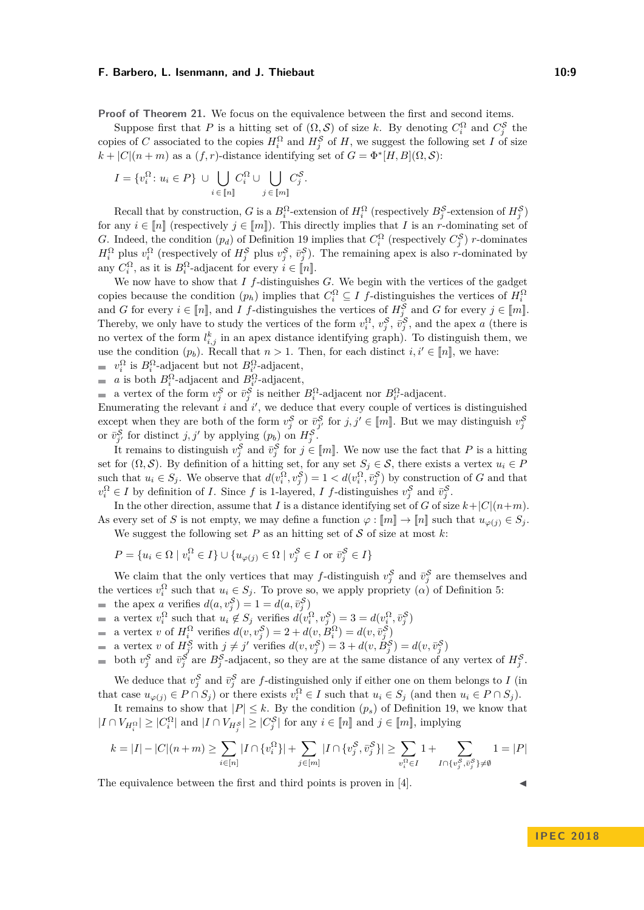**Proof of Theorem [21.](#page-7-0)** We focus on the equivalence between the first and second items.

Suppose first that *P* is a hitting set of  $(\Omega, \mathcal{S})$  of size *k*. By denoting  $C_i^{\Omega}$  and  $C_j^{\mathcal{S}}$  the copies of *C* associated to the copies  $H_i^{\Omega}$  and  $H_j^{\mathcal{S}}$  of *H*, we suggest the following set *I* of size  $k + |C|(n+m)$  as a  $(f, r)$ -distance identifying set of  $G = \Phi^*[H, B](\Omega, \mathcal{S})$ :

$$
I = \{v_i^{\Omega} \colon u_i \in P\} \cup \bigcup_{i \in [\![n]\!]} C_i^{\Omega} \cup \bigcup_{j \in [\![m]\!]} C_j^{S}.
$$

Recall that by construction, *G* is a  $B_i^{\Omega}$ -extension of  $H_i^{\Omega}$  (respectively  $B_j^{\mathcal{S}}$ -extension of  $H_j^{\mathcal{S}}$ ) for any  $i \in [n]$  (respectively  $j \in [m]$ ). This directly implies that *I* is an *r*-dominating set of *G*. Indeed, the condition  $(p_d)$  of Definition [19](#page-7-1) implies that  $C_i^{\Omega}$  (respectively  $C_j^{\mathcal{S}}$ ) *r*-dominates  $H_i^{\Omega}$  plus  $v_i^{\Omega}$  (respectively of  $H_j^{\mathcal{S}}$  plus  $v_j^{\mathcal{S}}, \bar{v}_j^{\mathcal{S}}$ ). The remaining apex is also *r*-dominated by any  $C_i^{\Omega}$ , as it is  $B_i^{\Omega}$ -adjacent for every  $i \in [n]$ .

We now have to show that *I f*-distinguishes *G*. We begin with the vertices of the gadget copies because the condition  $(p_h)$  implies that  $C_i^{\Omega} \subseteq I$  *f*-distinguishes the vertices of  $H_i^{\Omega}$ and *G* for every  $i \in [n]$ , and *I* f-distinguishes the vertices of  $H_j^{\mathcal{S}}$  and *G* for every  $j \in [m]$ . Thereby, we only have to study the vertices of the form  $v_i^{\Omega}$ ,  $v_j^{\mathcal{S}}$ ,  $\overline{v}_j^{\mathcal{S}}$ , and the apex *a* (there is no vertex of the form  $l_{i,j}^k$  in an apex distance identifying graph). To distinguish them, we use the condition  $(p_b)$ . Recall that  $n > 1$ . Then, for each distinct  $i, i' \in [n]$ , we have:

- $v_i^{\Omega}$  is  $B_i^{\Omega}$ -adjacent but not  $B_i^{\Omega}$ -adjacent,
- *a* is both  $B_i^{\Omega}$ -adjacent and  $B_{i'}^{\Omega}$ -adjacent,

a vertex of the form  $v_j^S$  or  $\bar{v}_j^S$  is neither  $B_i^{\Omega}$ -adjacent nor  $B_{i'}^{\Omega}$ -adjacent.

Enumerating the relevant  $i$  and  $i'$ , we deduce that every couple of vertices is distinguished except when they are both of the form  $v_j^{\mathcal{S}}$  or  $\bar{v}_{j'}^{\mathcal{S}}$  for  $j, j' \in [m]$ . But we may distinguish  $v_j^{\mathcal{S}}$ or  $\bar{v}_{j'}^{\mathcal{S}}$  for distinct *j*, *j'* by applying  $(p_b)$  on  $H_j^{\mathcal{S}}$ .

It remains to distinguish  $v_j^{\mathcal{S}}$  and  $\bar{v}_j^{\mathcal{S}}$  for  $j \in [m]$ . We now use the fact that *P* is a hitting set for  $(\Omega, \mathcal{S})$ . By definition of a hitting set, for any set  $S_j \in \mathcal{S}$ , there exists a vertex  $u_i \in P$ such that  $u_i \in S_j$ . We observe that  $d(v_i^{\Omega}, v_j^{\mathcal{S}}) = 1 < d(v_i^{\Omega}, \bar{v}_j^{\mathcal{S}})$  by construction of *G* and that  $v_i^{\Omega} \in I$  by definition of *I*. Since *f* is 1-layered, *I f*-distinguishes  $v_j^{\mathcal{S}}$  and  $\bar{v}_j^{\mathcal{S}}$ .

In the other direction, assume that *I* is a distance identifying set of *G* of size  $k + |C|(n+m)$ . As every set of *S* is not empty, we may define a function  $\varphi : [m] \to [n]$  such that  $u_{\varphi(j)} \in S_j$ .

We suggest the following set  $P$  as an hitting set of  $S$  of size at most  $k$ :

$$
P = \{ u_i \in \Omega \mid v_i^{\Omega} \in I \} \cup \{ u_{\varphi(j)} \in \Omega \mid v_j^{\mathcal{S}} \in I \text{ or } \overline{v}_j^{\mathcal{S}} \in I \}
$$

We claim that the only vertices that may *f*-distinguish  $v_j^S$  and  $\bar{v}_j^S$  are themselves and the vertices  $v_i^{\Omega}$  such that  $u_i \in S_j$ . To prove so, we apply propriety  $(\alpha)$  of Definition [5:](#page-4-2)

the apex *a* verifies  $d(a, v_j^S) = 1 = d(a, \bar{v}_j^S)$ 

a vertex  $v_i^{\Omega}$  such that  $u_i \notin S_j$  verifies  $d(v_i^{\Omega}, v_j^{\mathcal{S}}) = 3 = d(v_i^{\Omega}, \bar{v}_j^{\mathcal{S}})$ 

- a vertex *v* of  $H_i^{\Omega}$  verifies  $d(v, v_j^{\mathcal{S}}) = 2 + d(v, B_i^{\Omega}) = d(v, \bar{v}_j^{\mathcal{S}})$
- a vertex *v* of  $H_{j'}^{\mathcal{S}}$  with  $j \neq j'$  verifies  $d(v, v_j^{\mathcal{S}}) = 3 + d(v, B_j^{\mathcal{S}}) = d(v, \bar{v}_j^{\mathcal{S}})$

both  $v_j^S$  and  $\bar{v}_j^S$  are  $B_j^S$ -adjacent, so they are at the same distance of any vertex of  $H_j^S$ .

We deduce that  $v_j^{\mathcal{S}}$  and  $\bar{v}_j^{\mathcal{S}}$  are *f*-distinguished only if either one on them belongs to *I* (in that case  $u_{\varphi(j)} \in P \cap S_j$  or there exists  $v_i^{\Omega} \in I$  such that  $u_i \in S_j$  (and then  $u_i \in P \cap S_j$ ).

It remains to show that  $|P| \leq k$ . By the condition  $(p_s)$  of Definition [19,](#page-7-1) we know that  $|I \cap V_{H_i^{\Omega}}| \geq |C_i^{\Omega}|$  and  $|I \cap V_{H_j^{\mathcal{S}}}| \geq |C_j^{\mathcal{S}}|$  for any  $i \in [n]$  and  $j \in [m]$ , implying

$$
k=|I|-|C|(n+m)\geq \sum_{i\in[n]}|I\cap\{v_i^\Omega\}|+\sum_{j\in[m]}|I\cap\{v_j^\mathcal{S},\bar v_j^\mathcal{S}\}|\geq \sum_{v_i^\Omega\in I}1+\sum_{I\cap\{v_j^\mathcal{S},\bar v_j^\mathcal{S}\}\neq\emptyset}1=|P|
$$

The equivalence between the first and third points is proven in [\[4\]](#page-12-0).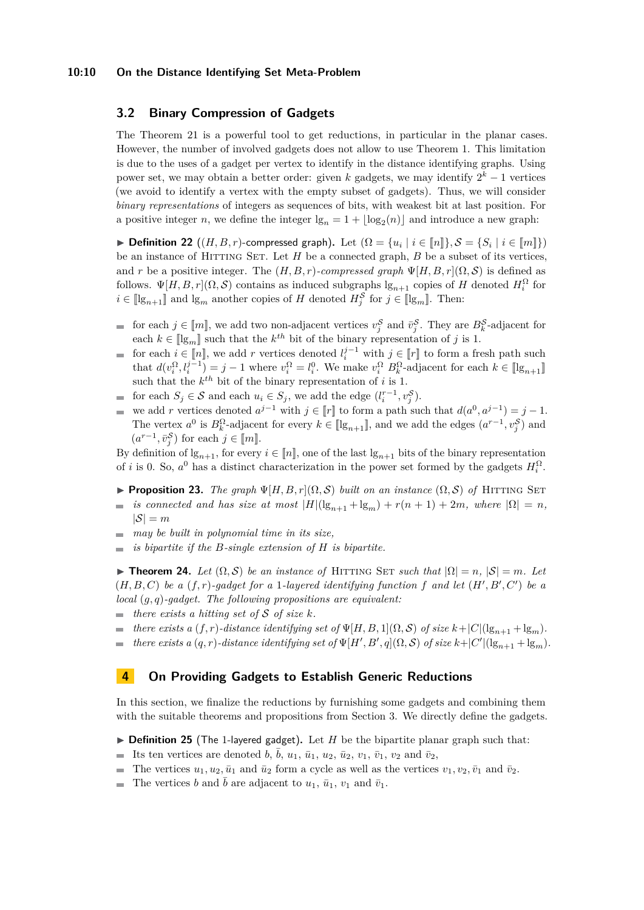# **3.2 Binary Compression of Gadgets**

The Theorem [21](#page-7-0) is a powerful tool to get reductions, in particular in the planar cases. However, the number of involved gadgets does not allow to use Theorem [1.](#page-2-0) This limitation is due to the uses of a gadget per vertex to identify in the distance identifying graphs. Using power set, we may obtain a better order: given *k* gadgets, we may identify 2 *<sup>k</sup>* − 1 vertices (we avoid to identify a vertex with the empty subset of gadgets). Thus, we will consider *binary representations* of integers as sequences of bits, with weakest bit at last position. For a positive integer *n*, we define the integer  $\lg_n = 1 + \lfloor \log_2(n) \rfloor$  and introduce a new graph:

 $\triangleright$  **Definition 22** ((*H, B, r*)-compressed graph). Let  $(Ω = {u_i | i ∈ [n]}, S = {S_i | i ∈ [m]})$ be an instance of HITTING SET. Let  $H$  be a connected graph,  $B$  be a subset of its vertices, and *r* be a positive integer. The  $(H, B, r)$ -compressed graph  $\Psi[H, B, r](\Omega, \mathcal{S})$  is defined as follows.  $\Psi[H, B, r](\Omega, \mathcal{S})$  contains as induced subgraphs  $\lg_{n+1}$  copies of *H* denoted  $H_i^{\Omega}$  for  $i \in [\![\lg_{n+1}]\!]$  and  $\lg_m$  another copies of *H* denoted  $H_j^{\mathcal{S}}$  for  $j \in [\![\lg_m]\!]$ . Then:

- for each  $j \in [m]$ , we add two non-adjacent vertices  $v_j^S$  and  $\bar{v}_j^S$ . They are  $B_k^S$ -adjacent for each  $k \in [\![\lg_m]\!]$  such that the  $k^{th}$  bit of the binary representation of *j* is 1.
- for each  $i \in [n]$ , we add  $r$  vertices denoted  $l_i^{j-1}$  with  $j \in [r]$  to form a fresh path such that  $d(v_i^{\Omega}, l_i^{j-1}) = j - 1$  where  $v_i^{\Omega} = l_i^0$ . We make  $v_i^{\Omega}$   $B_k^{\Omega}$ -adjacent for each  $k \in [\![\lg_{n+1}]\!]$ such that the  $k^{th}$  bit of the binary representation of *i* is 1.
- for each  $S_j \in \mathcal{S}$  and each  $u_i \in S_j$ , we add the edge  $(l_i^{r-1}, v_j^{\mathcal{S}})$ .
- we add *r* vertices denoted  $a^{j-1}$  with  $j \in [r]$  to form a path such that  $d(a^0, a^{j-1}) = j 1$ . ÷ The vertex  $a^0$  is  $B_k^{\Omega}$ -adjacent for every  $k \in [\![\lg_{n+1}]\!]$ , and we add the edges  $(a^{r-1}, v_j^{\mathcal{S}})$  and  $(a^{r-1}, \bar{v}_j^{\mathcal{S}})$  for each  $j \in [m]$ .

By definition of  $\lg_{n+1}$ , for every  $i \in [n]$ , one of the last  $\lg_{n+1}$  bits of the binary representation of *i* is 0. So,  $a^0$  has a distinct characterization in the power set formed by the gadgets  $H_i^{\Omega}$ .

<span id="page-9-1"></span>**Proposition 23.** *The graph*  $\Psi[H, B, r](\Omega, \mathcal{S})$  *built on an instance*  $(\Omega, \mathcal{S})$  *of* HITTING SET

- *is connected and has size at most*  $|H|(\lg_{n+1} + \lg_m) + r(n+1) + 2m$ *, where*  $|\Omega| = n$ *,*  $\overline{\phantom{a}}$  $|\mathcal{S}| = m$
- *may be built in polynomial time in its size,*  $\equiv$
- *is bipartite if the B-single extension of H is bipartite.*

<span id="page-9-2"></span> $\triangleright$  **Theorem 24.** *Let*  $(Ω, Β)$  *be an instance of* HITTING SET *such that*  $|Ω| = n$ *,*  $|δ| = m$ *. Let*  $(H, B, C)$  *be a*  $(f, r)$ *-gadget for a* 1*-layered identifying function*  $f$  *and let*  $(H', B', C')$  *be a local* (*g, q*)*-gadget. The following propositions are equivalent:*

- $\blacksquare$  *there exists a hitting set of* S *of size*  $k$ *.*
- $\bullet$  *there exists a*  $(f, r)$ *-distance identifying set of*  $\Psi[H, B, 1](\Omega, \mathcal{S})$  *of size*  $k + |C|(\lg_{n+1} + \lg_m)$ .
- *there exists a*  $(q, r)$ *-distance identifying set of*  $\Psi[H', B', q](\Omega, \mathcal{S})$  *of size*  $k + |C'|(\lg_{n+1} + \lg_m)$ *.*  $\equiv$

# <span id="page-9-0"></span>**4 On Providing Gadgets to Establish Generic Reductions**

In this section, we finalize the reductions by furnishing some gadgets and combining them with the suitable theorems and propositions from Section [3.](#page-6-0) We directly define the gadgets.

- $\triangleright$  **Definition 25** (The 1-layered gadget). Let *H* be the bipartite planar graph such that:
- Its ten vertices are denoted *b*,  $\bar{b}$ ,  $u_1$ ,  $\bar{u}_1$ ,  $u_2$ ,  $\bar{u}_2$ ,  $v_1$ ,  $\bar{v}_1$ ,  $v_2$  and  $\bar{v}_2$ ,
- The vertices  $u_1, u_2, \bar{u}_1$  and  $\bar{u}_2$  form a cycle as well as the vertices  $v_1, v_2, \bar{v}_1$  and  $\bar{v}_2$ .
- The vertices *b* and  $\bar{b}$  are adjacent to  $u_1$ ,  $\bar{u}_1$ ,  $v_1$  and  $\bar{v}_1$ .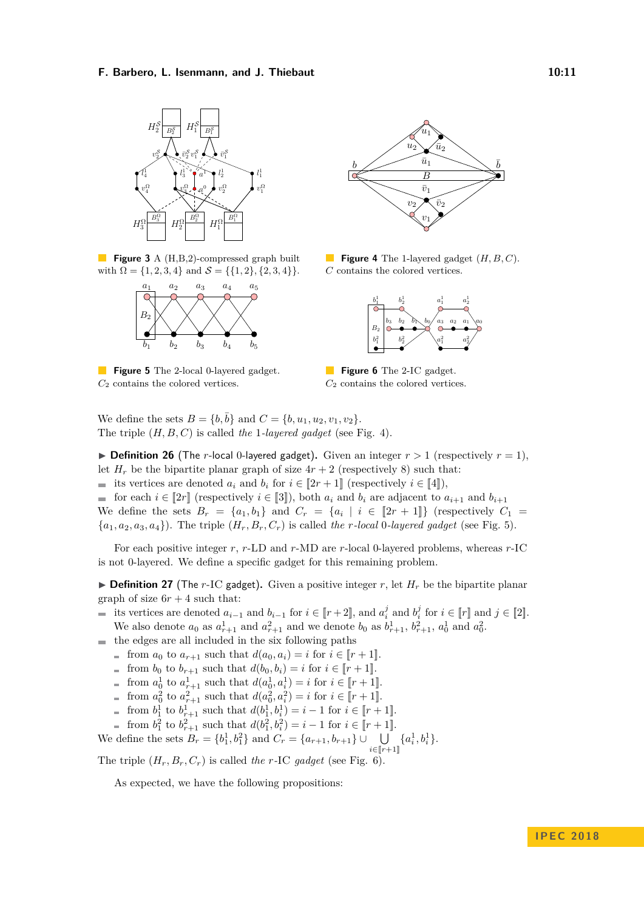<span id="page-10-0"></span>

**Figure 3** A (H,B,2)-compressed graph built with  $\Omega = \{1, 2, 3, 4\}$  and  $S = \{\{1, 2\}, \{2, 3, 4\}\}.$ 



**Figure 5** The 2-local 0-layered gadget. *C*<sup>2</sup> contains the colored vertices.



**Figure 4** The 1-layered gadget (*H, B, C*). *C* contains the colored vertices.



**Figure 6** The 2-IC gadget. *C*<sup>2</sup> contains the colored vertices.

We define the sets  $B = \{b, \bar{b}\}\$  and  $C = \{b, u_1, u_2, v_1, v_2\}.$ The triple (*H, B, C*) is called *the* 1*-layered gadget* (see Fig. [4\)](#page-10-0).

 $\triangleright$  **Definition 26** (The *r*-local 0-layered gadget). Given an integer  $r > 1$  (respectively  $r = 1$ ), let  $H_r$  be the bipartite planar graph of size  $4r + 2$  (respectively 8) such that: its vertices are denoted  $a_i$  and  $b_i$  for  $i \in [2r+1]$  (respectively  $i \in [4]$ ),

■ for each  $i \in [2r]$  (respectively  $i \in [3]$ ), both  $a_i$  and  $b_i$  are adjacent to  $a_{i+1}$  and  $b_{i+1}$ 

We define the sets  $B_r = \{a_1, b_1\}$  and  $C_r = \{a_i \mid i \in [2r+1]\}$  (respectively  $C_1 =$  $\{a_1, a_2, a_3, a_4\}$ . The triple  $(H_r, B_r, C_r)$  is called the *r*-local 0-layered gadget (see Fig. [5\)](#page-10-0).

For each positive integer *r*, *r*-LD and *r*-MD are *r*-local 0-layered problems, whereas *r*-IC is not 0-layered. We define a specific gadget for this remaining problem.

 $\triangleright$  **Definition 27** (The *r*-IC gadget). Given a positive integer *r*, let  $H_r$  be the bipartite planar graph of size  $6r + 4$  such that:

- its vertices are denoted  $a_{i-1}$  and  $b_{i-1}$  for  $i \in [r+2]$ , and  $a_i^j$  and  $b_i^j$  for  $i \in [r]$  and  $j \in [2]$ . We also denote  $a_0$  as  $a_{r+1}^1$  and  $a_{r+1}^2$  and we denote  $b_0$  as  $b_{r+1}^1$ ,  $b_{r+1}^2$ ,  $a_0^1$  and  $a_0^2$ .
- $\blacksquare$  the edges are all included in the six following paths
	- from  $a_0$  to  $a_{r+1}$  such that  $d(a_0, a_i) = i$  for  $i \in [r+1]$ .
	- from *b*<sub>0</sub> to *b*<sub>*r*+1</sub> such that  $d(b_0, b_i) = i$  for  $i \in [r + 1]$ .
	- from  $a_0^1$  to  $a_{r+1}^1$  such that  $d(a_0^1, a_i^1) = i$  for  $i \in [r+1]$ .
	- from  $a_0^2$  to  $a_{r+1}^2$  such that  $d(a_0^2, a_i^2) = i$  for  $i \in [r+1]$ .
	- from  $b_1^1$  to  $b_{r+1}^1$  such that  $d(b_1^1, b_i^1) = i 1$  for  $i \in [r+1]$ .
	- from  $b_1^2$  to  $b_{r+1}^2$  such that  $d(b_1^2, b_i^2) = i 1$  for  $i \in [r+1]$ .

We define the sets 
$$
B_r = \{b_1^1, b_1^2\}
$$
 and  $C_r = \{a_{r+1}, b_{r+1}\} \cup \bigcup_{i \in [r+1]} \{a_i^1, b_i^1\}.$ 

The triple  $(H_r, B_r, C_r)$  is called *the r*-IC *gadget* (see Fig. [6\)](#page-10-0).

As expected, we have the following propositions: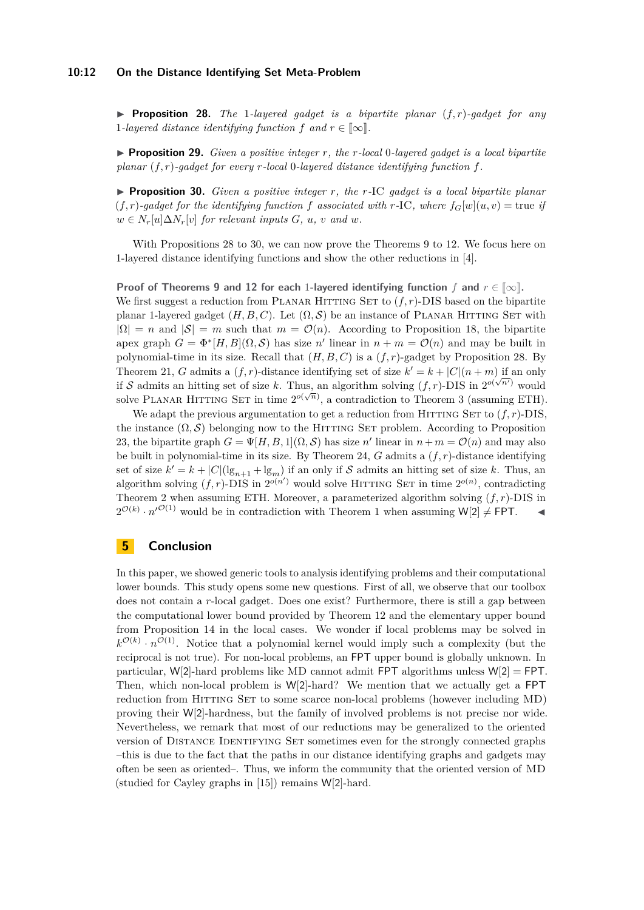<span id="page-11-0"></span>**Proposition 28.** *The* 1-layered gadget is a bipartite planar  $(f, r)$ -gadget for any 1*-layered distance identifying function*  $f$  *and*  $r \in [\infty]$ *.* 

I **Proposition 29.** *Given a positive integer r, the r-local* 0*-layered gadget is a local bipartite planar* (*f, r*)*-gadget for every r-local* 0*-layered distance identifying function f.*

<span id="page-11-1"></span>I **Proposition 30.** *Given a positive integer r, the r-*IC *gadget is a local bipartite planar*  $(f, r)$ -gadget for the identifying function f associated with  $r$ -IC, where  $f_G[w](u, v) =$  true if  $w \in N_r[u] \Delta N_r[v]$  *for relevant inputs G, u, v and w.* 

With Propositions [28](#page-11-0) to [30,](#page-11-1) we can now prove the Theorems [9](#page-5-1) to [12.](#page-5-0) We focus here on 1-layered distance identifying functions and show the other reductions in [\[4\]](#page-12-0).

**Proof of Theorems [9](#page-5-1) and [12](#page-5-0) for each** 1-layered identifying function  $f$  and  $r \in [\infty]$ . We first suggest a reduction from PLANAR HITTING SET to  $(f, r)$ -DIS based on the bipartite planar 1-layered gadget  $(H, B, C)$ . Let  $(\Omega, \mathcal{S})$  be an instance of PLANAR HITTING SET with  $|\Omega| = n$  and  $|\mathcal{S}| = m$  such that  $m = \mathcal{O}(n)$ . According to Proposition [18,](#page-7-2) the bipartite apex graph  $G = \Phi^*[H, B](\Omega, \mathcal{S})$  has size *n'* linear in  $n + m = \mathcal{O}(n)$  and may be built in polynomial-time in its size. Recall that (*H, B, C*) is a (*f, r*)-gadget by Proposition [28.](#page-11-0) By Theorem [21,](#page-7-0) *G* admits a  $(f, r)$ -distance identifying set of size  $k' = k + |C|(n + m)$  if an only if S admits an hitting set of size k. Thus, an algorithm solving  $(f, r)$ -DIS in  $2^{o(\sqrt{n'})}$  would solve PLANAR HITTING SET in time  $2^{o(\sqrt{n})}$ , a contradiction to Theorem [3](#page-4-3) (assuming ETH).

We adapt the previous argumentation to get a reduction from HITTING SET to  $(f, r)$ -DIS, the instance  $(\Omega, \mathcal{S})$  belonging now to the HITTING SET problem. According to Proposition [23,](#page-9-1) the bipartite graph  $G = \Psi[H, B, 1](\Omega, \mathcal{S})$  has size *n'* linear in  $n + m = \mathcal{O}(n)$  and may also be built in polynomial-time in its size. By Theorem [24,](#page-9-2) *G* admits a (*f, r*)-distance identifying set of size  $k' = k + |C|(\lg_{n+1} + \lg_m)$  if an only if S admits an hitting set of size k. Thus, an algorithm solving  $(f, r)$ -DIS in  $2^{o(n')}$  would solve HITTING SET in time  $2^{o(n)}$ , contradicting Theorem [2](#page-3-2) when assuming ETH. Moreover, a parameterized algorithm solving (*f, r*)-DIS in  $2^{\mathcal{O}(k)} \cdot n'^{\mathcal{O}(1)}$  would be in contradiction with Theorem [1](#page-2-0) when assuming  $\mathsf{W}[2] \neq \mathsf{FPT}$ .

# **5 Conclusion**

In this paper, we showed generic tools to analysis identifying problems and their computational lower bounds. This study opens some new questions. First of all, we observe that our toolbox does not contain a *r*-local gadget. Does one exist? Furthermore, there is still a gap between the computational lower bound provided by Theorem [12](#page-5-0) and the elementary upper bound from Proposition [14](#page-5-2) in the local cases. We wonder if local problems may be solved in  $k^{\mathcal{O}(k)} \cdot n^{\mathcal{O}(1)}$ . Notice that a polynomial kernel would imply such a complexity (but the reciprocal is not true). For non-local problems, an FPT upper bound is globally unknown. In particular, W[2]-hard problems like MD cannot admit FPT algorithms unless  $W[2] = FPT$ . Then, which non-local problem is W[2]-hard? We mention that we actually get a FPT reduction from HITTING SET to some scarce non-local problems (however including MD) proving their W[2]-hardness, but the family of involved problems is not precise nor wide. Nevertheless, we remark that most of our reductions may be generalized to the oriented version of DISTANCE IDENTIFYING SET sometimes even for the strongly connected graphs –this is due to the fact that the paths in our distance identifying graphs and gadgets may often be seen as oriented–. Thus, we inform the community that the oriented version of MD (studied for Cayley graphs in [\[15\]](#page-12-17)) remains W[2]-hard.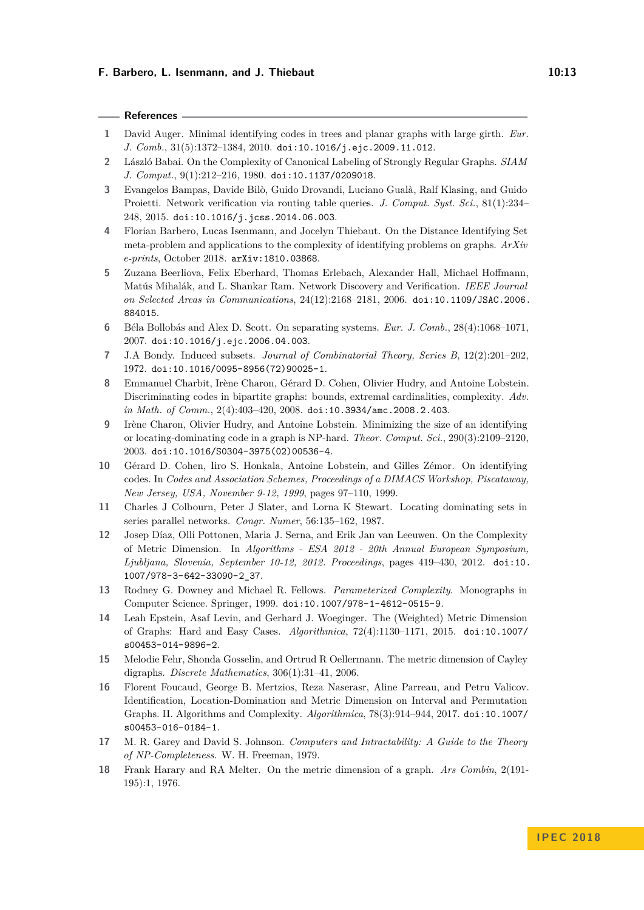#### **References**

- <span id="page-12-11"></span>**1** David Auger. Minimal identifying codes in trees and planar graphs with large girth. *Eur. J. Comb.*, 31(5):1372–1384, 2010. [doi:10.1016/j.ejc.2009.11.012](http://dx.doi.org/10.1016/j.ejc.2009.11.012).
- <span id="page-12-3"></span>**2** László Babai. On the Complexity of Canonical Labeling of Strongly Regular Graphs. *SIAM J. Comput.*, 9(1):212–216, 1980. [doi:10.1137/0209018](http://dx.doi.org/10.1137/0209018).
- <span id="page-12-1"></span>**3** Evangelos Bampas, Davide Bilò, Guido Drovandi, Luciano Gualà, Ralf Klasing, and Guido Proietti. Network verification via routing table queries. *J. Comput. Syst. Sci.*, 81(1):234– 248, 2015. [doi:10.1016/j.jcss.2014.06.003](http://dx.doi.org/10.1016/j.jcss.2014.06.003).
- <span id="page-12-0"></span>**4** Florian Barbero, Lucas Isenmann, and Jocelyn Thiebaut. On the Distance Identifying Set meta-problem and applications to the complexity of identifying problems on graphs. *ArXiv e-prints*, October 2018. [arXiv:1810.03868](http://arxiv.org/abs/1810.03868).
- <span id="page-12-2"></span>**5** Zuzana Beerliova, Felix Eberhard, Thomas Erlebach, Alexander Hall, Michael Hoffmann, Matús Mihalák, and L. Shankar Ram. Network Discovery and Verification. *IEEE Journal on Selected Areas in Communications*, 24(12):2168–2181, 2006. [doi:10.1109/JSAC.2006.](http://dx.doi.org/10.1109/JSAC.2006.884015) [884015](http://dx.doi.org/10.1109/JSAC.2006.884015).
- <span id="page-12-4"></span>**6** Béla Bollobás and Alex D. Scott. On separating systems. *Eur. J. Comb.*, 28(4):1068–1071, 2007. [doi:10.1016/j.ejc.2006.04.003](http://dx.doi.org/10.1016/j.ejc.2006.04.003).
- <span id="page-12-5"></span>**7** J.A Bondy. Induced subsets. *Journal of Combinatorial Theory, Series B*, 12(2):201–202, 1972. [doi:10.1016/0095-8956\(72\)90025-1](http://dx.doi.org/10.1016/0095-8956(72)90025-1).
- <span id="page-12-6"></span>**8** Emmanuel Charbit, Irène Charon, Gérard D. Cohen, Olivier Hudry, and Antoine Lobstein. Discriminating codes in bipartite graphs: bounds, extremal cardinalities, complexity. *Adv. in Math. of Comm.*, 2(4):403–420, 2008. [doi:10.3934/amc.2008.2.403](http://dx.doi.org/10.3934/amc.2008.2.403).
- <span id="page-12-10"></span>**9** Irène Charon, Olivier Hudry, and Antoine Lobstein. Minimizing the size of an identifying or locating-dominating code in a graph is NP-hard. *Theor. Comput. Sci.*, 290(3):2109–2120, 2003. [doi:10.1016/S0304-3975\(02\)00536-4](http://dx.doi.org/10.1016/S0304-3975(02)00536-4).
- <span id="page-12-8"></span>**10** Gérard D. Cohen, Iiro S. Honkala, Antoine Lobstein, and Gilles Zémor. On identifying codes. In *Codes and Association Schemes, Proceedings of a DIMACS Workshop, Piscataway, New Jersey, USA, November 9-12, 1999*, pages 97–110, 1999.
- <span id="page-12-9"></span>**11** Charles J Colbourn, Peter J Slater, and Lorna K Stewart. Locating dominating sets in series parallel networks. *Congr. Numer*, 56:135–162, 1987.
- <span id="page-12-14"></span>**12** Josep Díaz, Olli Pottonen, Maria J. Serna, and Erik Jan van Leeuwen. On the Complexity of Metric Dimension. In *Algorithms - ESA 2012 - 20th Annual European Symposium, Ljubljana, Slovenia, September 10-12, 2012. Proceedings*, pages 419–430, 2012. [doi:10.](http://dx.doi.org/10.1007/978-3-642-33090-2_37) [1007/978-3-642-33090-2\\_37](http://dx.doi.org/10.1007/978-3-642-33090-2_37).
- <span id="page-12-16"></span>**13** Rodney G. Downey and Michael R. Fellows. *Parameterized Complexity*. Monographs in Computer Science. Springer, 1999. [doi:10.1007/978-1-4612-0515-9](http://dx.doi.org/10.1007/978-1-4612-0515-9).
- <span id="page-12-13"></span>**14** Leah Epstein, Asaf Levin, and Gerhard J. Woeginger. The (Weighted) Metric Dimension of Graphs: Hard and Easy Cases. *Algorithmica*, 72(4):1130–1171, 2015. [doi:10.1007/](http://dx.doi.org/10.1007/s00453-014-9896-2) [s00453-014-9896-2](http://dx.doi.org/10.1007/s00453-014-9896-2).
- <span id="page-12-17"></span>**15** Melodie Fehr, Shonda Gosselin, and Ortrud R Oellermann. The metric dimension of Cayley digraphs. *Discrete Mathematics*, 306(1):31–41, 2006.
- <span id="page-12-15"></span>**16** Florent Foucaud, George B. Mertzios, Reza Naserasr, Aline Parreau, and Petru Valicov. Identification, Location-Domination and Metric Dimension on Interval and Permutation Graphs. II. Algorithms and Complexity. *Algorithmica*, 78(3):914–944, 2017. [doi:10.1007/](http://dx.doi.org/10.1007/s00453-016-0184-1) [s00453-016-0184-1](http://dx.doi.org/10.1007/s00453-016-0184-1).
- <span id="page-12-12"></span>**17** M. R. Garey and David S. Johnson. *Computers and Intractability: A Guide to the Theory of NP-Completeness*. W. H. Freeman, 1979.
- <span id="page-12-7"></span>**18** Frank Harary and RA Melter. On the metric dimension of a graph. *Ars Combin*, 2(191- 195):1, 1976.